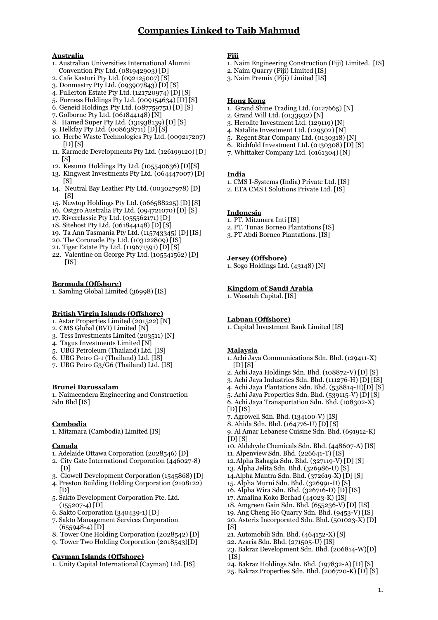## **Australia**

- 1. Australian Universities International Alumni Convention Pty Ltd. (081942903) [D]
- 2. Cafe Kasturi Pty Ltd. (092125007) [S]
- 3. Donmastry Pty Ltd. (093907843) [D] [S]
- 4. Fullerton Estate Pty Ltd. (121720974) [D] [S]
- 5. Furness Holdings Pty Ltd. (009154634) [D] [S]
- 6. Geneid Holdings Pty Ltd. (087759751) [D] [S]
- 7. Golborne Pty Ltd. (061844148) [N]
- 8. Hamed Super Pty Ltd. (131038130) [D] [S]
- 9. Helkfay Pty Ltd. (008638711) [D] [S]
- 10. Herbe Waste Technologies Pty Ltd. (009217207)  $[D][S]$
- 11. Karmede Developments Pty Ltd. (126199120) [D]  $[<sub>S</sub>]$
- 12. Kesuma Holdings Pty Ltd. (105540636) [D][S]
- 13. Kingwest Investments Pty Ltd. (064447007) [D]  $[S]$
- 14. Neutral Bay Leather Pty Ltd. (003027978) [D]  $[<sub>S</sub>]$
- 15. Newtop Holdings Pty Ltd. (066588225) [D] [S]
- 16. Ostgro Australia Pty Ltd. (094721070) [D] [S]
- 17. Riverclassic Pty Ltd. (055562171) [D]
- 18. Sitehost Pty Ltd. (061844148) [D] [S]
- 19. Ta Ann Tasmania Pty Ltd. (115743345) [D] [IS]
- 20. The Coronade Pty Ltd. (103122809) [IS]
- 21. Tiger Estate Pty Ltd. (119671591) [D] [S]
- 22. Valentine on George Pty Ltd. (105541562) [D]  $[IB]$

### **Bermuda (Offshore)**

1. Samling Global Limited (36008) [IS]

## **British Virgin Islands (Offshore)**

- 1. Astar Properties Limited (201522) [N]
- 2. CMS Global (BVI) Limited [N]
- 3. Tess Investments Limited (203511) [N]
- 4. Tagus Investments Limited [N]
- 5. UBG Petroleum (Thailand) Ltd. [IS]
- 6. UBG Petro G-1 (Thailand) Ltd. [IS]
- 7. UBG Petro G3/G6 (Thailand) Ltd. [IS]

#### **Brunei Darussalam**

1. Naimcendera Engineering and Construction Sdn Bhd [IS]

## **Cambodia**

1. Mitzmara (Cambodia) Limited [IS]

#### **Canada**

- 1. Adelaide Ottawa Corporation (2028546) [D]
- 2. City Gate International Corporation (446027-8) [D]
- 3. Glowell Development Corporation (1545868) [D]
- 4. Preston Building Holding Corporation (2108122)  $[D]$
- 5. Sakto Development Corporation Pte. Ltd.  $(155207-4)$   $\hat{D}$
- 6. Sakto Corporation (340439-1) [D]
- 7. Sakto Management Services Corporation  $(655948-4)$  [D]
- 8. Tower One Holding Corporation (2028542) [D]
- 9. Tower Two Holding Corporation (2018543)[D]

## **Cayman Islands (Offshore)**

1. Unity Capital International (Cayman) Ltd. [IS]

## **Fiji**

- 1. Naim Engineering Construction (Fiji) Limited. [IS]
- 2. Naim Quarry (Fiji) Limited [IS]
- 3. Naim Premix (Fiji) Limited [IS]

# **Hong Kong**

- 1. Grand Shine Trading Ltd. (0127665) [N]
- 2. Grand Will Ltd. (0122022) [N]
- 3. Herolite Investment Ltd. (129119) [N]
- 4. Natalite Investment Ltd. (129502) [N]
- 5. Regent Star Company Ltd. (0130318) [N]
- 6. Richfold Investment Ltd. (0130308) [D] [S] **7**. Whittaker Company Ltd. (0161304) [N]
- 

## **India**

- 1. CMS I-Systems (India) Private Ltd. [IS]
- 2. ETA CMS I Solutions Private Ltd. [IS]

## **Indonesia**

- 1. PT. Mitzmara Inti [IS]
- 2. PT. Tunas Borneo Plantations [IS]
- 3. PT Abdi Borneo Plantations. [IS]

## **Jersey (Offshore)**

1. Sogo Holdings Ltd. (43148) [N]

## **Kingdom of Saudi Arabia**

1. Wasatah Capital. [IS]

## **Labuan (Offshore)**

1. Capital Investment Bank Limited [IS]

## **Malaysia**

1.

- 1. Achi Jaya Communications Sdn. Bhd. (129411-X)  $[D]$  $[S]$
- 2. Achi Jaya Holdings Sdn. Bhd. (108872-V) [D] [S]
- 3. Achi Jaya Industries Sdn. Bhd. (111276-H) [D] [IS]
- 4. Achi Jaya Plantations Sdn. Bhd. (538814-H)[D] [S]
- 5. Achi Jaya Properties Sdn. Bhd. (539115-V) [D] [S] 6. Achi Jaya Transportation Sdn. Bhd. (108302-X)
- $[D]$   $[IS]$
- 7. Agrowell Sdn. Bhd. (134100-V) [IS]
- 8. Ahida Sdn. Bhd. (164776-U) [D] [S]
- 9. Al Amar Lebanese Cuisine Sdn. Bhd. (691912-K)  $[D]$   $[S]$
- 10. Aldehyde Chemicals Sdn. Bhd. (448607-A) [IS]
- 11. Alpenview Sdn. Bhd. (226641-T) [IS]
- 12.Alpha Bahagia Sdn. Bhd. (327119-V) [D] [S]
- 13. Alpha Jelita Sdn. Bhd. (326986-U) [S]
- 14.Alpha Mantra Sdn. Bhd. (372619-X) [D] [S]
- 15. Alpha Murni Sdn. Bhd. (326991-D) [S] 16. Alpha Wira Sdn. Bhd. (326716-D) [D] [IS]
- 17. Amalina Koko Berhad (44023-K) [IS]
- 18. Amgreen Gain Sdn. Bhd. (655236-V) [D] [IS]
- 19. Ang Cheng Ho Quarry Sdn. Bhd. (9453-V) [IS]
- 20. Asterix Incorporated Sdn. Bhd. (501023-X) [D]  $[<sub>S</sub>]$
- 21. Automobili Sdn. Bhd. (464152-X) [S]
- 22. Azaria Sdn. Bhd. (271505-U) [IS]
- 23. Bakraz Development Sdn. Bhd. (206814-W)[D]  $[$  $\overline{1}$ S]
- 24. Bakraz Holdings Sdn. Bhd. (197832-A) [D] [S]
- 25. Bakraz Properties Sdn. Bhd. (206720-K) [D] [S]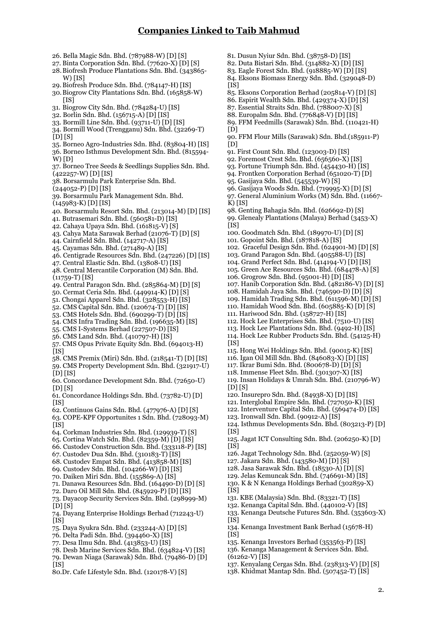26. Bella Magic Sdn. Bhd. (787988-W) [D] [S] 27. Binta Corporation Sdn. Bhd. (77620-X) [D] [S] 28.Biofresh Produce Plantations Sdn. Bhd. (343865- W) [IS] 20. Biofresh Produce Sdn. Bhd. (784147-H) [IS] 30.Biogrow City Plantations Sdn. Bhd. (165858-W)  $[1S]$ 31. Biogrow City Sdn. Bhd. (784284-U) [IS] 32. Borlin Sdn. Bhd. (156715-A) [D] [IS] 33. Bormill Line Sdn. Bhd. (93711-U) [D] [IS] 34. Bormill Wood (Trengganu) Sdn. Bhd. (32269-T)  $\overline{D}$ [S] 35. Borneo Agro-Industries Sdn. Bhd. (83804-H) [IS] 36. Borneo Isthmus Development Sdn. Bhd. (815594-  $W$  $D$ ] 37. Borneo Tree Seeds & Seedlings Supplies Sdn. Bhd. (422257-W) [D] [IS] 38. Borsarmulu Park Enterprise Sdn. Bhd.  $(244052 - P)$  [D] [IS] 39. Borsarmulu Park Management Sdn. Bhd. (145983-K) [D] [IS] 40. Borsarmulu Resort Sdn. Bhd. (213014-M) [D] [IS] 41. Butrasemari Sdn. Bhd. (560581-D) [IS] 42. Cahaya Upaya Sdn. Bhd. (161815-V) [S] 43. Cahya Mata Sarawak Berhad (21076-T) [D] [S] 44. Cairnfield Sdn. Bhd. (142717-A) [IS] 45. Cayamas Sdn. Bhd. (271489-A) [IS] 46. Centigrade Resources Sdn. Bhd. (247226) [D] [IS] 47. Central Elastic Sdn. Bhd. (13808-U) [IS] 48. Central Mercantile Corporation (M) Sdn. Bhd. (11759-T) [IS] 49. Central Paragon Sdn. Bhd. (285864-M) [D] [S] 50. Cermat Ceria Sdn. Bhd. (449914-K) [D] [S] 51. Chongai Apparel Sdn. Bhd. (328553-H) [IS] 52. CMS Capital Sdn. Bhd. (120674-T) [D] [IS] 53. CMS Hotels Sdn. Bhd. (690299-T) [D] [IS] 54. CMS Infra Trading Sdn. Bhd. (196635-M) [IS] 55. CMS I-Systems Berhad (227507-D) [IS] 56. CMS Land Sdn. Bhd. (410797-H) [IS] 57. CMS Opus Private Equity Sdn. Bhd. (694013-H) [IS] 58. CMS Premix (Miri) Sdn. Bhd. (218541-T) [D] [IS] 59. CMS Property Development Sdn. Bhd. (321917-U)  $[D]$  $[IB]$ 60. Concordance Development Sdn. Bhd. (72650-U)  $[D]$  $[S]$ 61. Concordance Holdings Sdn. Bhd. (73782-U) [D] 62. Continuos Gains Sdn. Bhd. (477976-A) [D] [S] 63. COPE-KPF Opportunites 1 Sdn. Bhd. (728093-M) 64. Corkman Industries Sdn. Bhd. (129939-T) [S] 65. Cortina Watch Sdn. Bhd. (82359-M) [D] [IS] 66. Custodev Construction Sdn. Bhd. (333118-P) [IS] 67. Custodev Dua Sdn. Bhd. (310183-T) [IS] 68. Custodev Empat Sdn. Bhd. (413858-M) [IS] 69. Custodev Sdn. Bhd. (104266-W) [D] [IS] 70. Daiken Miri Sdn. Bhd. (155869-A) [IS] 71. Danawa Resources Sdn. Bhd. (164490-D) [D] [S] 72. Daro Oil Mill Sdn. Bhd. (845929-P) [D] [IS] 73. Dayacop Security Services Sdn. Bhd. (298999-M)  $[D][S]$ 74. Dayang Enterprise Holdings Berhad (712243-U) 75. Daya Syukra Sdn. Bhd. (233244-A) [D] [S] 76. Delta Padi Sdn. Bhd. (394460-X) [IS] 77. Desa Ilmu Sdn. Bhd. (413853-U) [IS] 78. Desb Marine Services Sdn. Bhd. (634824-V) [IS] 79. Dewan Niaga (Sarawak) Sdn. Bhd. (79486-D) [D] 80.Dr. Cafe Lifestyle Sdn. Bhd. (120178-V) [S] 81. Dusun Nyiur Sdn. Bhd. (38758-D) [IS] 82. Duta Bistari Sdn. Bhd. (314882-X) [D] [IS] 83. Eagle Forest Sdn. Bhd. (918885-W) [D] [IS] 84. Eksons Biomass Energy Sdn. Bhd. (329048-D)  $\overline{1}$  $\overline{1}$  $\overline{5}$  $\overline{1}$ 85. Eksons Corporation Berhad (205814-V) [D] [S] 86. Espirit Wealth Sdn. Bhd. (429374-X) [D] [S] 87. Essential Straits Sdn. Bhd. (788007-X) [S] 88. Europalm Sdn. Bhd. (776848-V) [D] [IS] 89. FFM Feedmills (Sarawak) Sdn. Bhd. (110421-H)  $[D]$ 90. FFM Flour Mills (Sarawak) Sdn. Bhd.(185911-P)  $(n)$ 91. First Count Sdn. Bhd. (123003-D) [IS] 92. Foremost Crest Sdn. Bhd. (656560-X) [IS] 93. Fortune Triumph Sdn. Bhd. (454430-H) [IS] 94. Frontken Corporation Berhad (651020-T) [D] 95. Gasijaya Sdn. Bhd. (545539-W) [S] 96. Gasijaya Woods Sdn. Bhd. (719995-X) [D] [S] 97. General Aluminium Works (M) Sdn. Bhd. (11667-  $K$ ) [IS] 98. Genting Bahagia Sdn. Bhd. (626692-D) [S] 99. Glenealy Plantations (Malaya) Berhad (3453-X)  $\frac{3}{1}$ 100. Goodmatch Sdn. Bhd. (189970-U) [D] [S] 101. Gopoint Sdn. Bhd. (187818-A) [IS] 102. Graceful Design Sdn. Bhd. (624901-M) [D] [S] 103. Grand Paragon Sdn. Bhd. (405588-U) [IS] 104. Grand Perfect Sdn. Bhd. (414194-V) [D] [IS] 105. Green Ace Resources Sdn. Bhd. (684478-A) [S] 106. Grogrow Sdn. Bhd. (95001-H) [D] [IS] 107. Hanib Corporation Sdn. Bhd. (482186-V) [D] [S] 108. Hamidah Jaya Sdn. Bhd. (746590-D) [D] [S] 109. Hamidah Trading Sdn. Bhd. (611596-M) [D] [S] 110. Hamidah Wood Sdn. Bhd. (605885-K) [D] [S] 111. Hariwood Sdn. Bhd. (158727-H) [IS] 112. Hock Lee Enterprises Sdn. Bhd. (7510-U) [IS] 113. Hock Lee Plantations Sdn. Bhd. (9492-H) [IS] 114. Hock Lee Rubber Products Sdn. Bhd. (54125-H) [IS] 115. Hong Wei Holdings Sdn. Bhd. (90015-K) [IS] 116. Igan Oil Mill Sdn. Bhd. (846083-X) [D] [IS] 117. Ikrar Bumi Sdn. Bhd. (800678-D) [D] [S] 118. Immense Fleet Sdn. Bhd. (301307-X) [IS] 119. Insan Holidays & Umrah Sdn. Bhd. (210796-W)  $[D][S]$ 120. Insurepro Sdn. Bhd. (84938-X) [D] [IS] 121. Interglobal Empire Sdn. Bhd. (727050-K) [IS] 122. Interventure Capital Sdn. Bhd. (569474-D) [IS] 123. Ironwall Sdn. Bhd. (90912-A) [IS] 124. Isthmus Developments Sdn. Bhd. (803213-P) [D]  $[$ IS] 125. Jagat ICT Consulting Sdn. Bhd. (206250-K) [D]  $[1S]$ 126. Jagat Technology Sdn. Bhd. (252059-W) [S] 127. Jakara Sdn. Bhd. (143580-M) [D] [S] 128. Jasa Sarawak Sdn. Bhd. (18530-A) [D] [S] 129. Jelas Kemuncak Sdn. Bhd. (746691-M) [IS] 130. K & N Kenanga Holdings Berhad (302859-X)  $[$  $\overline{1}$ S] 131. KBE (Malaysia) Sdn. Bhd. (83321-T) [IS] 132. Kenanga Capital Sdn. Bhd. (440102-V) [IS] 133. Kenanga Deutsche Futures Sdn. Bhd. (353603-X)  $[$ IS] 134. Kenanga Investment Bank Berhad (15678-H)  $\overline{1}$  $\overline{1}$  $\overline{5}$  $\overline{1}$ 135. Kenanga Investors Berhad (353563-P) [IS] 136. Kenanga Management & Services Sdn. Bhd. (61262-V) [IS] 137. Kenyalang Cergas Sdn. Bhd. (238313-V) [D] [S] 138. Khidmat Mantap Sdn. Bhd. (507452-T) [IS]

 $[IB]$ 

 $[$ IS]

 $\overline{1}$ IS]

 $\tilde{I}$ IS]

2.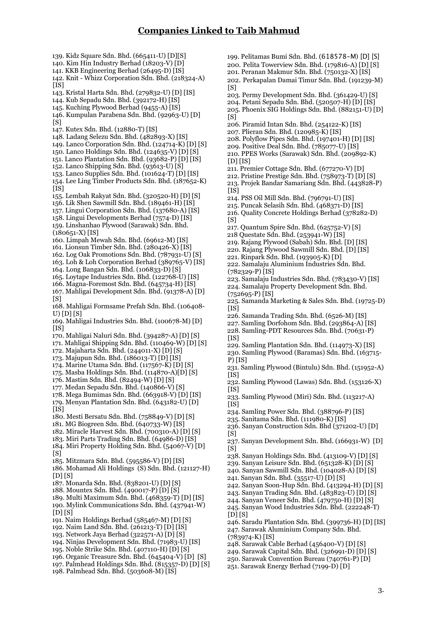139. Kidz Square Sdn. Bhd. (665411-U) [D][S] 140. Kim Hin Industry Berhad (18203-V) [D] 141. KKB Engineering Berhad (26495-D) [IS] 142. Knit - Whizz Corporation Sdn. Bhd. (218324-A)  $\overline{115}$ 143. Kristal Harta Sdn. Bhd. (279832-U) [D] [IS] 144. Kub Sepadu Sdn. Bhd. (392172-H) [IS] 145. Kuching Plywood Berhad (9455-A) [IS] 146. Kumpulan Parabena Sdn. Bhd. (92963-U) [D]  $\overline{S}$ ] 147. Kutex Sdn. Bhd. (12880-T) [IS] 148. Ladang Selezu Sdn. Bhd. (482893-X) [IS] 149. Lanco Corporation Sdn. Bhd. (124714-K) [D] [S] 150. Lanco Holdings Sdn. Bhd. (124635-V) [D] [S] 151. Lanco Plantation Sdn. Bhd. (93682-P) [D] [IS] 152. Lanco Shipping Sdn. Bhd. (93613-U) [S] 153. Lanco Supplies Sdn. Bhd. (101624-T) [D] [IS] 154. Lee Ling Timber Products Sdn. Bhd. (187652-K) [is] 155. Lembah Rakyat Sdn. Bhd. (320520-H) [D] [S] 156. Lik Shen Sawmill Sdn. Bhd. (189461-H) [IS] 157. Lingui Corporation Sdn. Bhd. (137680-A) [IS] 158. Lingui Developments Berhad (7574-D) [IS] 159. Linshanhao Plywood (Sarawak) Sdn. Bhd. (180651-X) [IS] 160. Limpah Mewah Sdn. Bhd. (69612-M) [IS] 161. Lionsun Timber Sdn. Bhd. (280426-X) [IS] 162. Log Oak Promotions Sdn. Bhd. (787931-U) [S] 163. Loh & Loh Corporation Berhad (389765-V) [IS] 164. Long Bangan Sdn. Bhd. (106833-D) [S] 165. Loytape Industries Sdn. Bhd. (122768-U) [IS] 166. Magna-Foremost Sdn. Bhd. (645734-H) [IS] 167. Mahligai Development Sdn. Bhd. (91378-A) [D] [S] 168. Mahligai Formsame Prefah Sdn. Bhd. (106408- U) [D] [S] 169. Mahligai Industries Sdn. Bhd. (100678-M) [D]  $[$ IS] 170. Mahligai Naluri Sdn. Bhd. (394287-A) [D] [S] 171. Mahligai Shipping Sdn. Bhd. (110469-W) [D] [S] 172. Majaharta Sdn. Bhd. (244011-X) [D] [S] 173. Majupun Sdn. Bhd. (186013-T) [D] [IS] 174. Marine Utama Sdn. Bhd. (117567-K) [D] [S] 175. Masba Holdings Sdn. Bhd. (114870-A)[D] [S] 176. Mastim Sdn. Bhd. (82494-W) [D] [S] 177. Medan Sepadu Sdn. Bhd. (140866-V) [S] 178. Mega Bumimas Sdn. Bhd. (663918-V) [D] [IS] 179. Menyan Plantation Sdn. Bhd. (643182-U) [D]  $[$ IS] 180. Mesti Bersatu Sdn. Bhd. (758849-V) [D] [S] 181. MG Biogreen Sdn. Bhd. (640733-W) [IS] 182. Miracle Harvest Sdn. Bhd. (700310-A) [D] [S] 183. Miri Parts Trading Sdn. Bhd. (64986-D) [IS] 184. Miri Property Holding Sdn. Bhd. (54067-V) [D]  $[<sub>S</sub>]$ 185. Mitzmara Sdn. Bhd. (595586-V) [D] [IS] 186. Mohamad Ali Holdings (S) Sdn. Bhd. (121127-H) [D] [S] 187. Monarda Sdn. Bhd. (838201-U) [D] [S] 188. Mountex Sdn. Bhd. (490017-P) [D] [S] 189. Multi Maximum Sdn. Bhd. (468359-T) [D] [IS] 190. Mylink Communications Sdn. Bhd. (437941-W)  $[DIS]$ 191. Naim Holdings Berhad (585467-M) [D] [S] 192. Naim Land Sdn. Bhd. (261213-T) [D] [IS] 193. Network Jaya Berhad (322571-A) [D] [S] 194. Ninjas Development Sdn. Bhd. (71983-U) [IS] 195. Noble Strike Sdn. Bhd. (407110-H) [D] [S] 196. Organic Treasure Sdn. Bhd. (645404-V) [D] [S] 197. Palmhead Holdings Sdn. Bhd. (815357-D) [D] [S] 198. Palmhead Sdn. Bhd. (503608-M) [IS]  $\overline{S}$  $[S]$  $[D]$  $[IS]$  $[1S]$  $[<sub>S</sub>]$ (782329-P) [IS]  $(752695 - P)$  [IS]  $[$  $\overline{1}$  $\overline{1}$  $\overline{1}$  $\overline{1}$  $\overline{1}$  $\overline{1}$  $\overline{1}$  $\overline{1}$  $\overline{1}$  $\overline{1}$  $\overline{1}$  $\overline{1}$  $\overline{1}$  $\overline{1}$  $\overline{1}$  $\overline{1}$  $\overline{1}$  $\overline{1}$  $\overline{1}$  $\overline{1}$  $\overline{1}$  $\overline{1}$  $\overline{1}$  $\overline{1}$  $\overline{1}$  $\overline{1}$  $\overline{1}$  $\$  $[$ IS] $]$ P) [IS]  $\overline{[}$ [IS]  $\overline{1}$ IS]  $[$ IS]  $\overline{S}$ ]  $[<sub>S</sub>]$  $[D]$  $[S]$ (783974-K) [IS]

199. Pelitamas Bumi Sdn. Bhd. (618578-M) [D] [S] 200. Pelita Towerview Sdn. Bhd. (179816-A) [D] [S] 201. Peranan Makmur Sdn. Bhd. (750132-X) [IS]

202. Perkapalan Damai Timur Sdn. Bhd. (191239-M)

203. Permy Development Sdn. Bhd. (361429-U) [S]

204. Petani Sepadu Sdn. Bhd. (520507-H) [D] [IS] 205. Phoenix SIG Holdings Sdn. Bhd. (882151-U) [D]

- 206. Piramid Intan Sdn. Bhd. (254122-K) [IS]
- 207. Plieran Sdn. Bhd. (120985-K) [IS]
- 208. Polyflow Pipes Sdn. Bhd. (197401-H) [D] [IS]
- 209. Positive Deal Sdn. Bhd. (785077-U) [IS]
- 210. PPES Works (Sarawak) Sdn. Bhd. (200802-K)
- 211. Premier Cottage Sdn. Bhd. (677270-V) [D]
- 212. Pristine Prestige Sdn. Bhd. (758973-T) [D] [S]
- 213. Projek Bandar Samariang Sdn. Bhd. (443828-P)
- 214. PSS Oil Mill Sdn. Bhd. (796791-U) [IS]
- 215. Puncak Selasih Sdn. Bhd. (468371-D) [IS]
- 216. Quality Concrete Holdings Berhad (378282-D)
- 217. Quantum Spire Sdn. Bhd. (625752-V) [S]
- 218 Questate Sdn. Bhd. (253941-W) [IS]
- 219. Rajang Plywood (Sabah) Sdn. Bhd. [D] [IS]
- 220. Rajang Plywood Sawmill Sdn. Bhd. [D] [IS]
- 221. Rinpark Sdn. Bhd. (193905-K) [D] 222. Samalaju Aluminium Industries Sdn. Bhd.
- 
- 223. Samalaju Industries Sdn. Bhd. (783430-V) [IS]
- 224. Samalaju Property Development Sdn. Bhd.
- 225. Samanda Marketing & Sales Sdn. Bhd. (19725-D)
- 226. Samanda Trading Sdn. Bhd. (6526-M) [IS]
- 227. Samling Dorfohom Sdn. Bhd. (293864-A) [IS]
- 228. Samling-PDT Resources Sdn. Bhd. (70631-P)
- 229. Samling Plantation Sdn. Bhd. (114973-X) [IS]
- 230. Samling Plywood (Baramas) Sdn. Bhd. (163715-
- 231. Samling Plywood (Bintulu) Sdn. Bhd. (151952-A)
- 232. Samling Plywood (Lawas) Sdn. Bhd. (153126-X)
- 233. Samling Plywood (Miri) Sdn. Bhd. (113217-A)
- 234. Samling Power Sdn. Bhd. (388796-P) [IS]
- 235. Sanitama Sdn. Bhd. (111980-K) [IS]
- 236. Sanyan Construction Sdn. Bhd (371202-U) [D]
- 237. Sanyan Development Sdn. Bhd. (166931-W) [D]
- 238. Sanyan Holdings Sdn. Bhd. (413109-V) [D] [S]
- 239. Sanyan Leisure Sdn. Bhd. (651328-K) [D] [S]
- 240. Sanyan Sawmill Sdn. Bhd. (104028-A) [D] [S]
- 241. Sanyan Sdn. Bhd. (35517-U) [D] [S]
- 242. Sanyan Soon-Hup Sdn. Bhd. (413294-H) [D] [S]
- 243. Sanyan Trading Sdn. Bhd. (483823-U) [D] [S]
- 244. Sanyan Veneer Sdn. Bhd. (479750-H) [D] [S] 245. Sanyan Wood Industries Sdn. Bhd. (222248-T)
- 
- 246. Saradu Plantation Sdn. Bhd. (399736-H) [D] [IS] 247. Sarawak Aluminium Company Sdn. Bhd.
- 248. Sarawak Cable Berhad (456400-V) [D] [S]
- 249. Sarawak Capital Sdn. Bhd. (326991-D) [D] [S]
- 250. Sarawak Convention Bureau (740761-P) [D]
- 251. Sarawak Energy Berhad (7199-D) [D]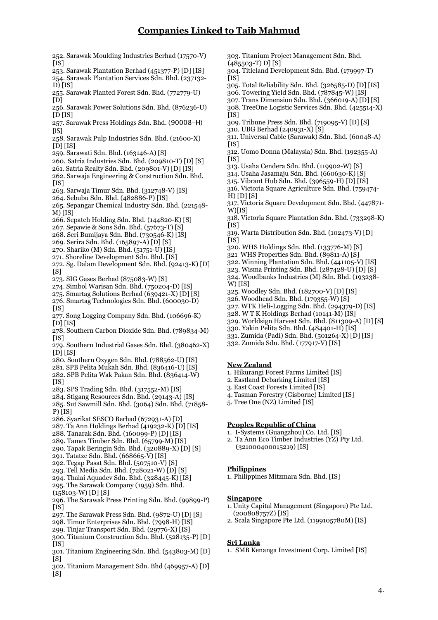- 252. Sarawak Moulding Industries Berhad (17570-V)  $\frac{1}{1}$
- 253. Sarawak Plantation Berhad (451377-P) [D] [IS] 254. Sarawak Plantation Services Sdn. Bhd. (237132- D) [IS]
- 255. Sarawak Planted Forest Sdn. Bhd. (772779-U) [D]
- 256. Sarawak Power Solutions Sdn. Bhd. (876236-U)  $[D$  $[IS]$
- 257. Sarawak Press Holdings Sdn. Bhd. (90008-H)  $[$  $|$ IS]
- 258. Sarawak Pulp Industries Sdn. Bhd. (21600-X)  $[D][IS]$
- 259. Sarawati Sdn. Bhd. (163146-A) [S]
- 260. Satria Industries Sdn. Bhd. (209810-T) [D] [S]
- 261. Satria Realty Sdn. Bhd. (209801-V) [D] [IS] 262. Sarwaja Engineering & Construction Sdn. Bhd.
- $[$ IS] $]$
- 263. Sarwaja Timur Sdn. Bhd. (312748-V) [IS]
- 264. Sebubu Sdn. Bhd. (482886-P) [IS]
- 265. Sepangar Chemical Industry Sdn. Bhd. (221548- M) [IS]
- 266. Sepateh Holding Sdn. Bhd. (144820-K) [S]
- 267. Sepawie & Sons Sdn. Bhd. (57673-T) [S]
- 268. Seri Bumijaya Sdn. Bhd. (730546-K) [IS]
- 269. Serira Sdn. Bhd. (165897-A) [D] [S]
- 270. Shariko (M) Sdn. Bhd. (51751-U) [IS] 271. Shoreline Development Sdn. Bhd. [IS]
- 272. Sg. Dalam Development Sdn. Bhd. (92413-K) [D]  $[Si]$
- 273. SIG Gases Berhad (875083-W) [S]
- 274. Simbol Warisan Sdn. Bhd. (750204-D) [IS]
- 275. Smartag Solutions Berhad (639421-X) [D] [S]
- 276. Smartag Technologies Sdn. Bhd. (600030-D)  $[$ IS]
- 277. Song Logging Company Sdn. Bhd. (106696-K) [D] [IS]
- 278. Southern Carbon Dioxide Sdn. Bhd. (789834-M)  $[$ IS]
- 279. Southern Industrial Gases Sdn. Bhd. (380462-X)  $[D]$   $[IS]$
- 280. Southern Oxygen Sdn. Bhd. (788562-U) [IS] 281. SPB Pelita Mukah Sdn. Bhd. (836416-U) [IS]
- 282. SPB Pelita Wak Pakan Sdn. Bhd. (836414-W)
- $[$ IS]
- 283. SPS Trading Sdn. Bhd. (317552-M) [IS]
- 284. Stigang Resources Sdn. Bhd. (29143-A) [IS] 285. Sut Sawmill Sdn. Bhd. (3064) Sdn. Bhd. (71858- P) [IS]
- 286. Syarikat SESCO Berhad (672931-A) [D]
- 287. Ta Ann Holdings Berhad (419232-K) [D] [IS]
- 288. Tanarak Sdn. Bhd. (160099-P) [D] [IS]
- 289. Tamex Timber Sdn. Bhd. (65799-M) [IS]
- 290. Tapak Beringin Sdn. Bhd. (320889-X) [D] [S] 291. Tatatze Sdn. Bhd. (668665-V) [IS]
- 
- 292. Tegap Pasat Sdn. Bhd. (507510-V) [S] 293. Tell Media Sdn. Bhd. (728021-W) [D] [S]
- 294. Thalai Aquadev Sdn. Bhd. (328445-K) [IS] 295. The Sarawak Company (1959) Sdn. Bhd.
- $(158103-W)$  [D] [S]
- 296. The Sarawak Press Printing Sdn. Bhd. (99899-P)  $[$ IS]
- 297. The Sarawak Press Sdn. Bhd. (9872-U) [D] [S]
- 298. Timor Enterprises Sdn. Bhd. (7998-H) [IS]
- 299. Tinjar Transport Sdn. Bhd. (29776-X) [IS]
- 300. Titanium Construction Sdn. Bhd. (528135-P) [D]  $[$ IS]
- 301. Titanium Engineering Sdn. Bhd. (543803-M) [D]
- [S] 302. Titanium Management Sdn. Bhd (469957-A) [D] [S]
- 303. Titanium Project Management Sdn. Bhd.  $(485502 - T)$  D]  $[8]$
- 304. Titleland Development Sdn. Bhd. (179997-T)  $\overline{I}$ [S]
- 305. Total Reliability Sdn. Bhd. (326585-D) [D] [IS]
- 306. Towering Yield Sdn. Bhd. (787845-W) [IS]
- 307. Trans Dimension Sdn. Bhd. (366019-A) [D] [S]
- 308. TreeOne Logistic Services Sdn. Bhd. (425514-X)  $[$ IS]
- 309. Tribune Press Sdn. Bhd. (719095-V) [D] [S]
- 310. UBG Berhad (240931-X) [S]
- 311. Universal Cable (Sarawak) Sdn. Bhd. (60048-A)  $\tilde{\Pi}$ S]
- 312. Uomo Donna (Malaysia) Sdn. Bhd. (192355-A)  $|$ IS]
- 313. Usaha Cendera Sdn. Bhd. (119902-W) [S]
- 314. Usaha Jasamaju Sdn. Bhd. (660630-K) [S]
- 315. Vibrant Hub Sdn. Bhd. (396559-H) [D] [IS]
- 316. Victoria Square Agriculture Sdn. Bhd. (759474-
- $H$  $[D]$  $[S]$ 317. Victoria Square Development Sdn. Bhd. (447871- W)[IS]
- 318. Victoria Square Plantation Sdn. Bhd. (733298-K)  $\tilde{I}$ <sub>IS</sub> $\tilde{I}$
- 319. Warta Distribution Sdn. Bhd. (102473-V) [D]  $\overline{[}$ <sub>IS</sub> $\overline{]}$
- 320. WHS Holdings Sdn. Bhd. (133776-M) [S]
- 321 WHS Properties Sdn. Bhd. (89811-A) [S]
- 322. Winning Plantation Sdn. Bhd. (441105-V) [IS]
- 323. Wisma Printing Sdn. Bhd. (287428-U) [D] [S]
- 324. Woodbanks Industries (M) Sdn. Bhd. (193238- W) [IS]
- 325. Woodley Sdn. Bhd. (182700-V) [D] [IS]
- 326. Woodhead Sdn. Bhd. (179355-W) [S]
- 327. WTK Heli-Logging Sdn. Bhd. (294379-D) [IS]
- 328. W T K Holdings Berhad (10141-M) [IS]
- 329. Worldsign Harvest Sdn. Bhd. (811309-A) [D] [S]
- 330. Yakin Pelita Sdn. Bhd. (484401-H) [IS]
- 331. Zumida (Padi) Sdn. Bhd. (501264-X) [D] [IS]
- 332. Zumida Sdn. Bhd. (177917-V) [IS]

## **New Zealand**

- 1. Hikurangi Forest Farms Limited [IS]
- 2. Eastland Debarking Limited [IS]
- 3. East Coast Forests Limited [IS]
- 4. Tasman Forestry (Gisborne) Limited [IS]
- 5. Tree One (NZ) Limited [IS]

## **Peoples Republic of China**

- 1. I-Systems (Guangzhou) Co. Ltd. [IS]
- 2. Ta Ann Eco Timber Industries (YZ) Pty Ltd. (321000400015219) [IS]

### **Philippines**

1. Philippines Mitzmara Sdn. Bhd. [IS]

## **Singapore**

- 1. Unity Capital Management (Singapore) Pte Ltd. (200808757Z) [IS]
- 2. Scala Singapore Pte Ltd. (1199105780M) [IS]

#### **Sri Lanka**

1. SMB Kenanga Investment Corp. Limited [IS]